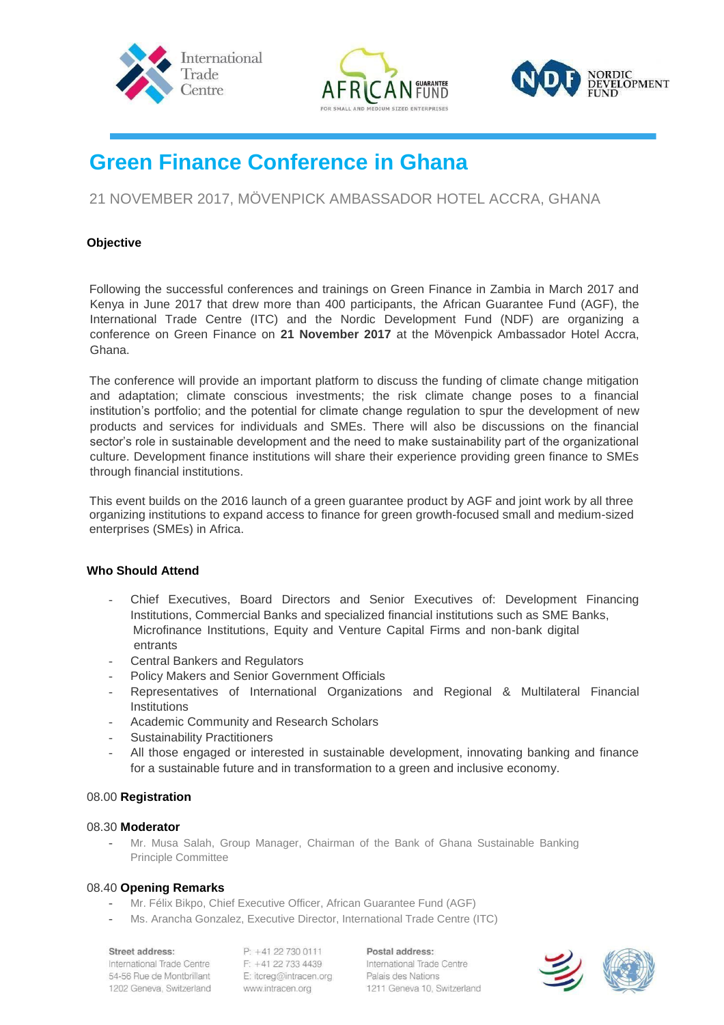





# **Green Finance Conference in Ghana**

## 21 NOVEMBER 2017, MÖVENPICK AMBASSADOR HOTEL ACCRA, GHANA

## **Objective**

Following the successful conferences and trainings on Green Finance in Zambia in March 2017 and Kenya in June 2017 that drew more than 400 participants, the African Guarantee Fund (AGF), the International Trade Centre (ITC) and the Nordic Development Fund (NDF) are organizing a conference on Green Finance on **21 November 2017** at the Mövenpick Ambassador Hotel Accra, Ghana.

The conference will provide an important platform to discuss the funding of climate change mitigation and adaptation; climate conscious investments; the risk climate change poses to a financial institution's portfolio; and the potential for climate change regulation to spur the development of new products and services for individuals and SMEs. There will also be discussions on the financial sector's role in sustainable development and the need to make sustainability part of the organizational culture. Development finance institutions will share their experience providing green finance to SMEs through financial institutions.

This event builds on the 2016 launch of a green guarantee product by AGF and joint work by all three organizing institutions to expand access to finance for green growth-focused small and medium-sized enterprises (SMEs) in Africa.

## **Who Should Attend**

- Chief Executives, Board Directors and Senior Executives of: Development Financing Institutions, Commercial Banks and specialized financial institutions such as SME Banks, Microfinance Institutions, Equity and Venture Capital Firms and non-bank digital entrants
- Central Bankers and Regulators
- Policy Makers and Senior Government Officials
- Representatives of International Organizations and Regional & Multilateral Financial **Institutions**
- Academic Community and Research Scholars
- Sustainability Practitioners
- All those engaged or interested in sustainable development, innovating banking and finance for a sustainable future and in transformation to a green and inclusive economy.

## 08.00 **Registration**

## 08.30 **Moderator**

- Mr. Musa Salah, Group Manager, Chairman of the Bank of Ghana Sustainable Banking Principle Committee

## 08.40 **Opening Remarks**

- Mr. Félix Bikpo, Chief Executive Officer, African Guarantee Fund (AGF)
- Ms. Arancha Gonzalez, Executive Director, International Trade Centre (ITC)

#### Street address:

International Trade Centre 54-56 Rue de Montbrillant 1202 Geneva, Switzerland P: +41 22 730 0111 F: +41 22 733 4439 E: itcreg@intracen.org www.intracen.org

Postal address: International Trade Centre Palais des Nations 1211 Geneva 10, Switzerland

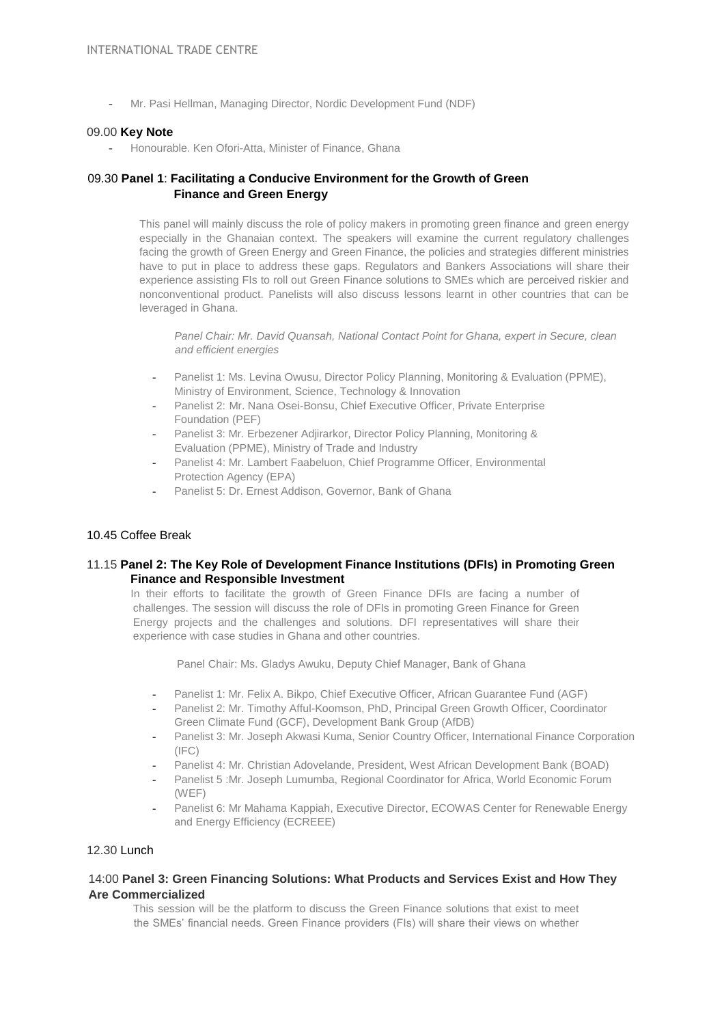- Mr. Pasi Hellman, Managing Director, Nordic Development Fund (NDF)

#### 09.00 **Key Note**

Honourable. Ken Ofori-Atta, Minister of Finance, Ghana

## 09.30 **Panel 1**: **Facilitating a Conducive Environment for the Growth of Green Finance and Green Energy**

This panel will mainly discuss the role of policy makers in promoting green finance and green energy especially in the Ghanaian context. The speakers will examine the current regulatory challenges facing the growth of Green Energy and Green Finance, the policies and strategies different ministries have to put in place to address these gaps. Regulators and Bankers Associations will share their experience assisting FIs to roll out Green Finance solutions to SMEs which are perceived riskier and nonconventional product. Panelists will also discuss lessons learnt in other countries that can be leveraged in Ghana.

*Panel Chair: Mr. David Quansah, National Contact Point for Ghana, expert in Secure, clean and efficient energies* 

- Panelist 1: Ms. Levina Owusu, Director Policy Planning, Monitoring & Evaluation (PPME), Ministry of Environment, Science, Technology & Innovation
- Panelist 2: Mr. Nana Osei-Bonsu, Chief Executive Officer, Private Enterprise Foundation (PEF)
- Panelist 3: Mr. Erbezener Adjirarkor, Director Policy Planning, Monitoring & Evaluation (PPME), Ministry of Trade and Industry
- Panelist 4: Mr. Lambert Faabeluon, Chief Programme Officer, Environmental Protection Agency (EPA)
- Panelist 5: Dr. Ernest Addison, Governor, Bank of Ghana

## 10.45 Coffee Break

## 11.15 **Panel 2: The Key Role of Development Finance Institutions (DFIs) in Promoting Green Finance and Responsible Investment**

In their efforts to facilitate the growth of Green Finance DFIs are facing a number of challenges. The session will discuss the role of DFIs in promoting Green Finance for Green Energy projects and the challenges and solutions. DFI representatives will share their experience with case studies in Ghana and other countries.

Panel Chair: Ms. Gladys Awuku, Deputy Chief Manager, Bank of Ghana

- Panelist 1: Mr. Felix A. Bikpo, Chief Executive Officer, African Guarantee Fund (AGF)
- Panelist 2: Mr. Timothy Afful-Koomson, PhD, Principal Green Growth Officer, Coordinator Green Climate Fund (GCF), Development Bank Group (AfDB)
- Panelist 3: Mr. Joseph Akwasi Kuma, Senior Country Officer, International Finance Corporation (IFC)
- Panelist 4: Mr. Christian Adovelande, President, West African Development Bank (BOAD)
- Panelist 5 :Mr. Joseph Lumumba, Regional Coordinator for Africa, World Economic Forum (WEF)
- Panelist 6: Mr Mahama Kappiah, Executive Director, ECOWAS Center for Renewable Energy and Energy Efficiency (ECREEE)

#### 12.30 Lunch

## 14:00 **Panel 3: Green Financing Solutions: What Products and Services Exist and How They Are Commercialized**

This session will be the platform to discuss the Green Finance solutions that exist to meet the SMEs' financial needs. Green Finance providers (FIs) will share their views on whether